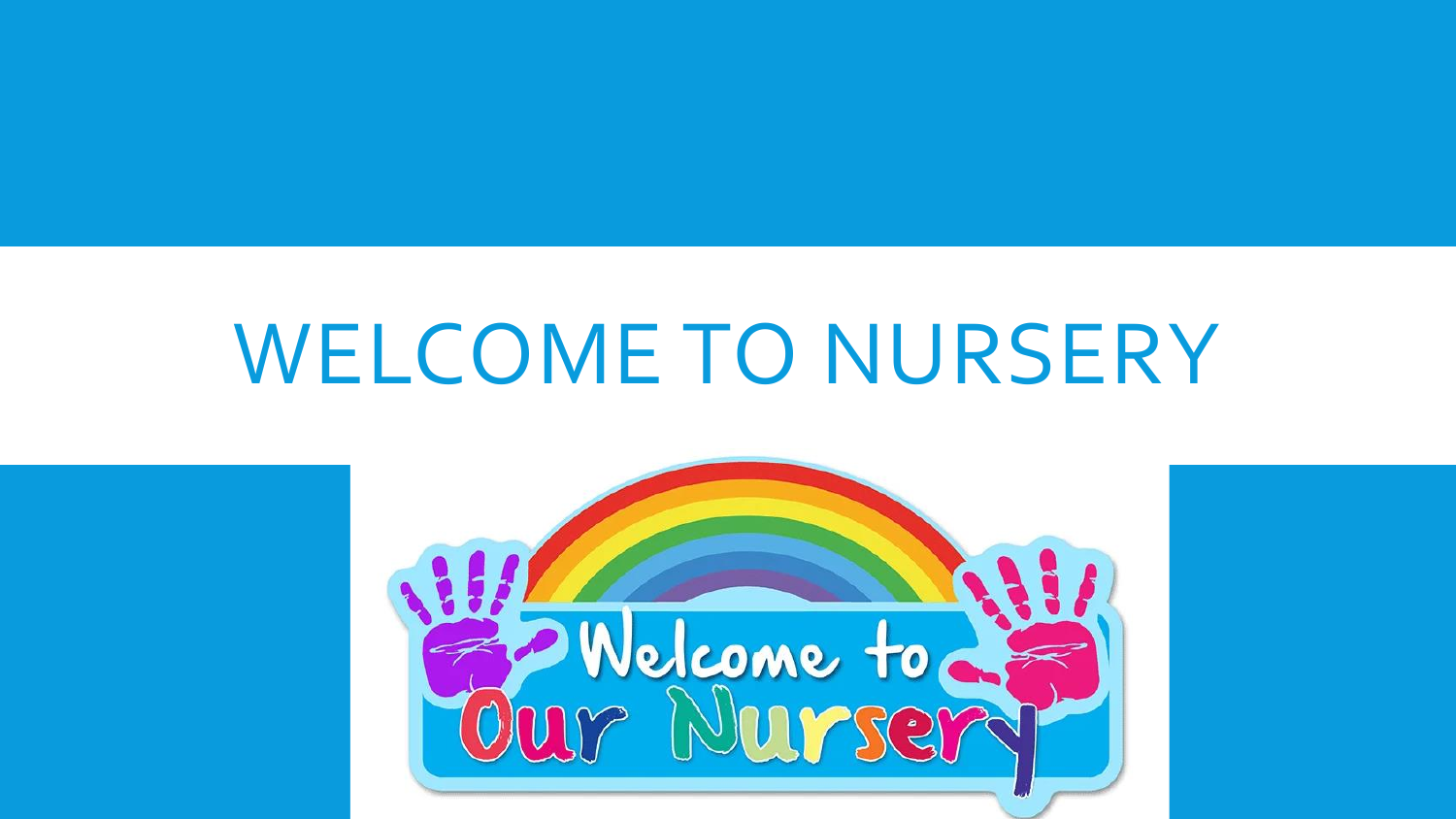# WELCOME TO NURSERY

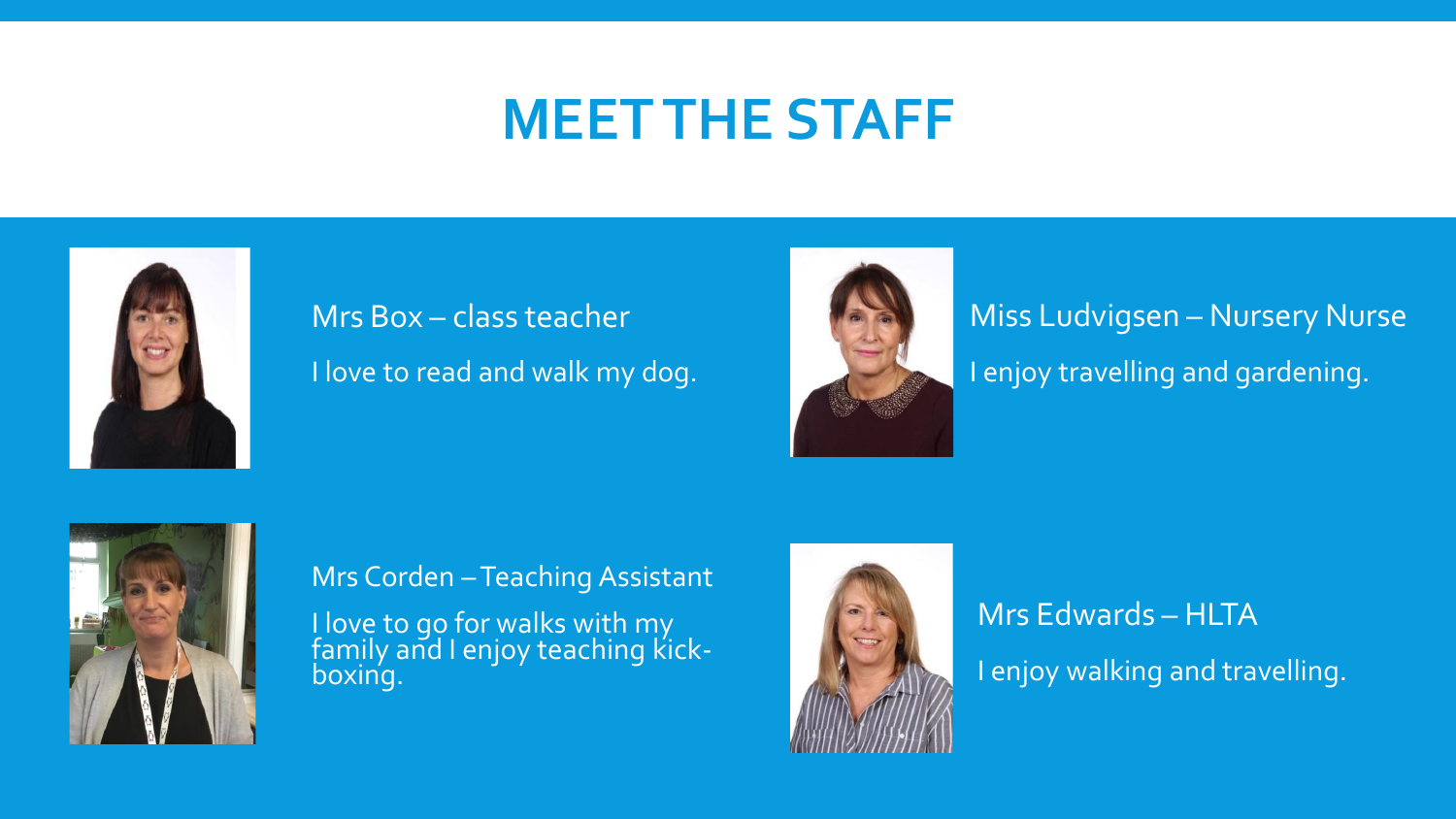## **MEET THE STAFF**



### Mrs Box – class teacher I love to read and walk my dog.



Miss Ludvigsen – Nursery Nurse I enjoy travelling and gardening.



Mrs Corden - Teaching Assistant I love to go for walks with my family and I enjoy teaching kickboxing.



### Mrs Edwards – HLTA I enjoy walking and travelling.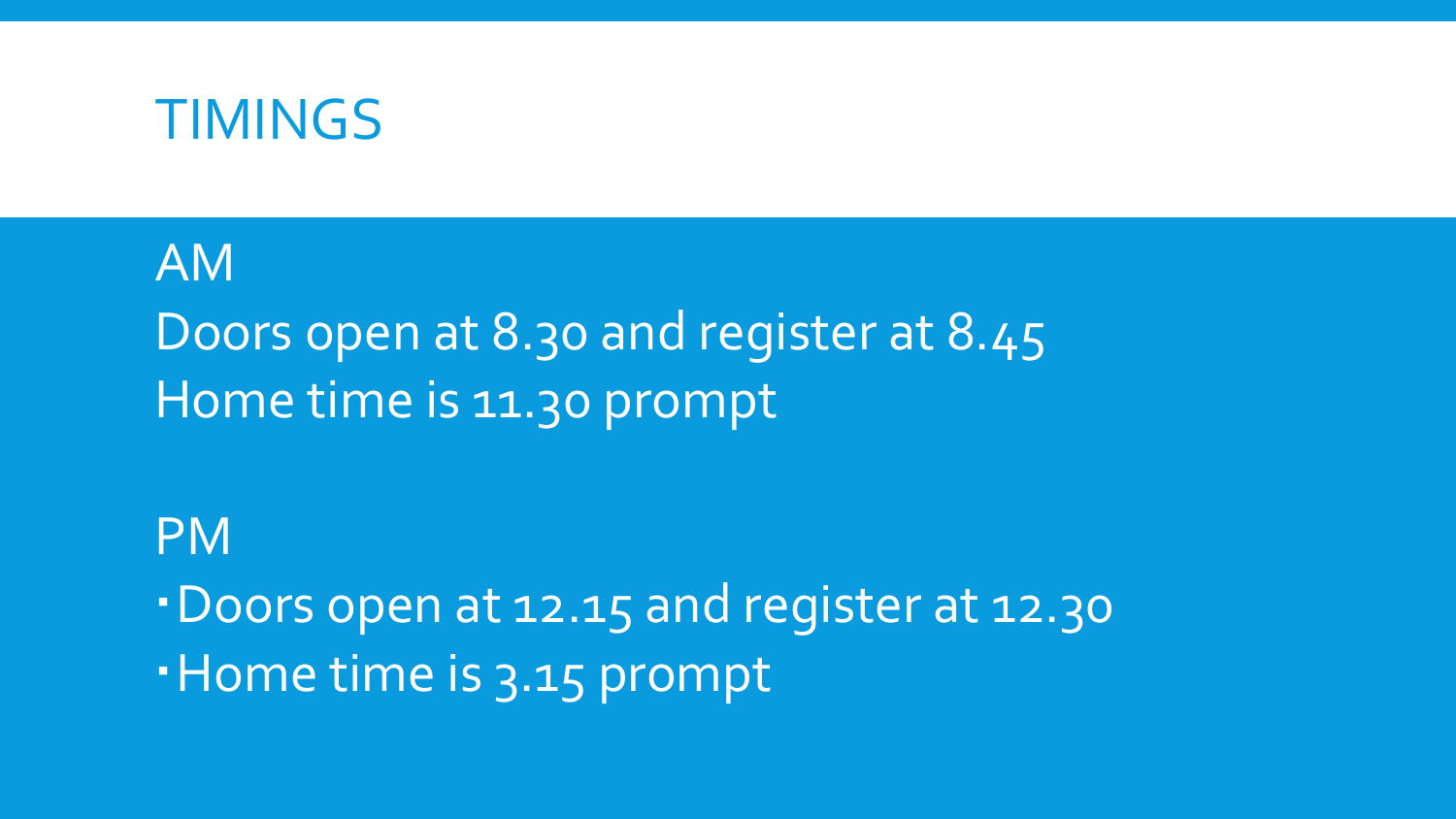

AM Doors open at 8.30 and register at 8.45 Home time is 11.30 prompt

### PM

Doors open at 12.15 and register at 12.30

Home time is 3.15 prompt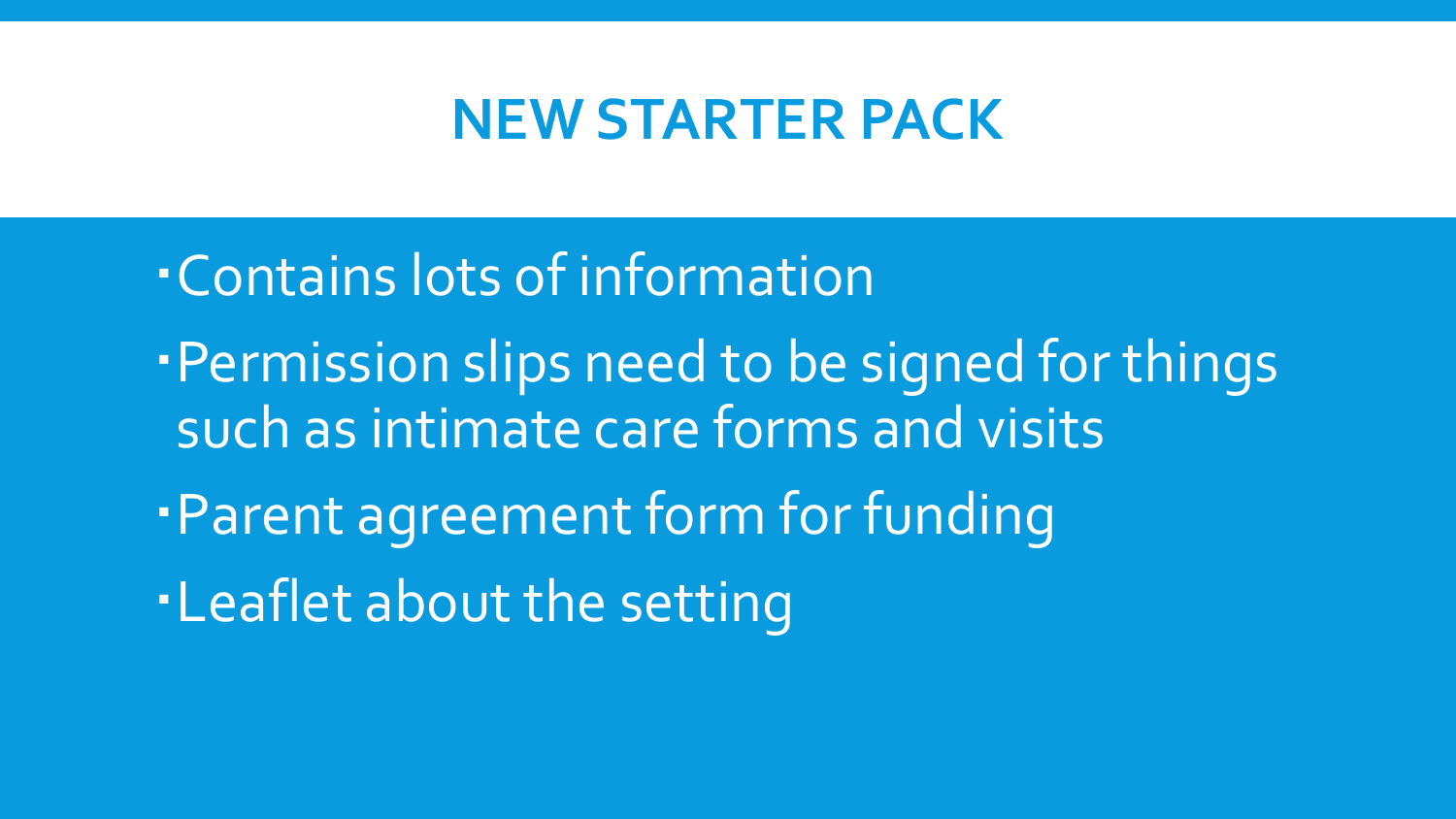### **NEW STARTER PACK**

Contains lots of information Permission slips need to be signed for things such as intimate care forms and visits Parent agreement form for funding Leaflet about the setting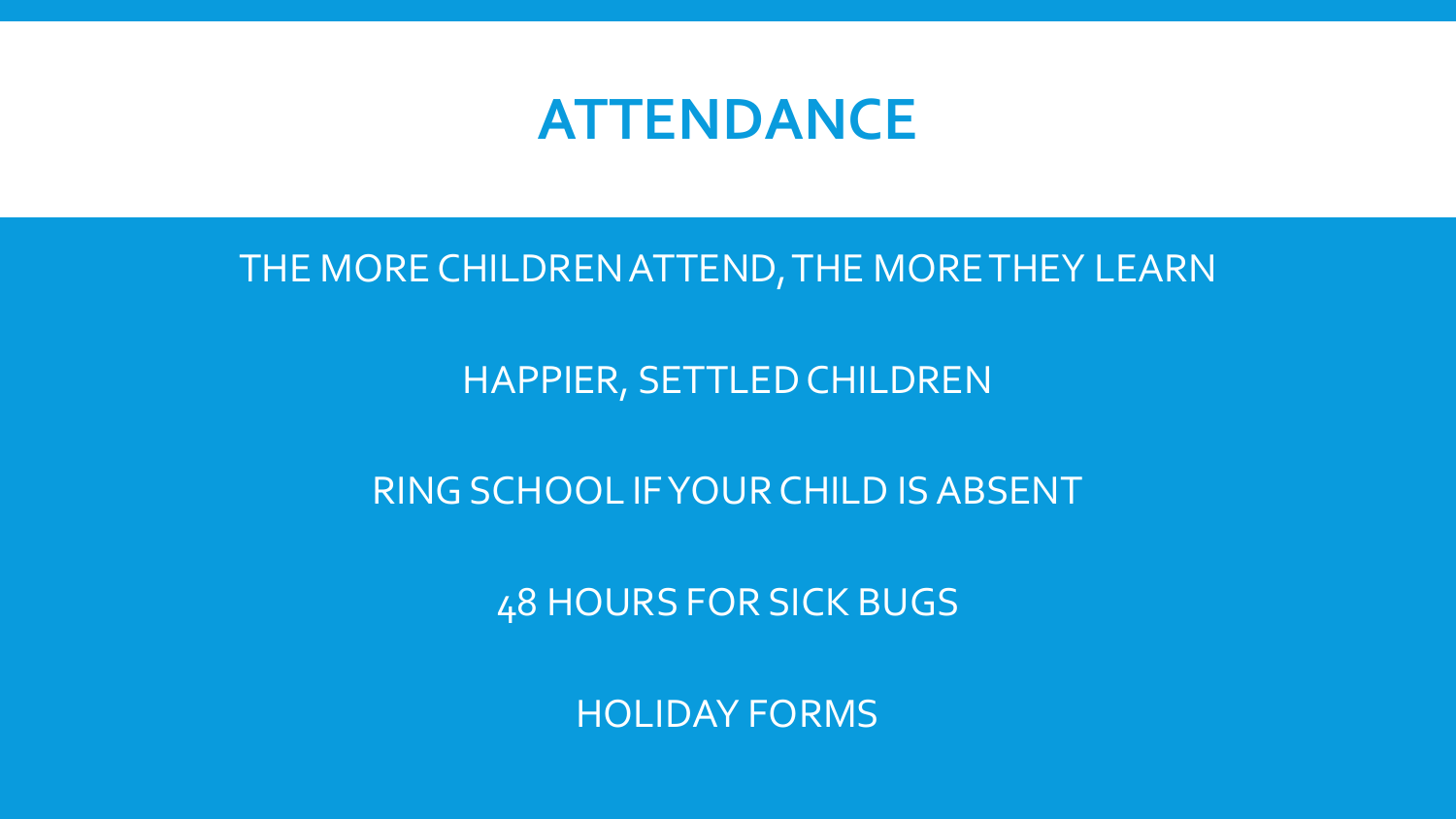### **ATTENDANCE**

THE MORE CHILDREN ATTEND, THE MORE THEY LEARN

HAPPIER, SETTLED CHILDREN

RING SCHOOL IF YOUR CHILD IS ABSENT

48 HOURS FOR SICK BUGS

HOLIDAY FORMS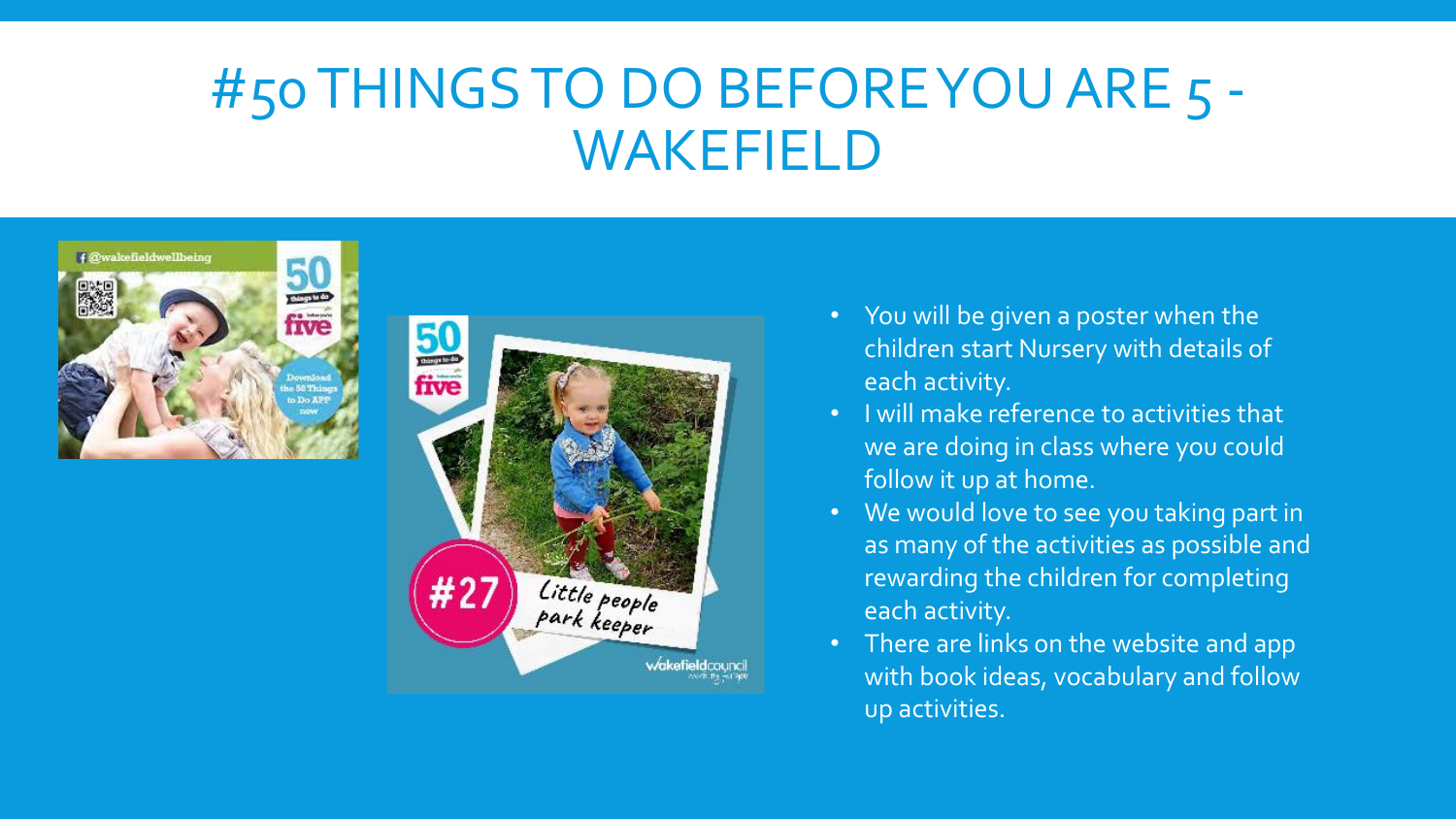## #50 THINGS TO DO BEFORE YOU ARE 5 - WAKEFIELD





- You will be given a poster when the children start Nursery with details of each activity.
- I will make reference to activities that we are doing in class where you could follow it up at home.
- We would love to see you taking part in as many of the activities as possible and rewarding the children for completing each activity.
- There are links on the website and app with book ideas, vocabulary and follow up activities.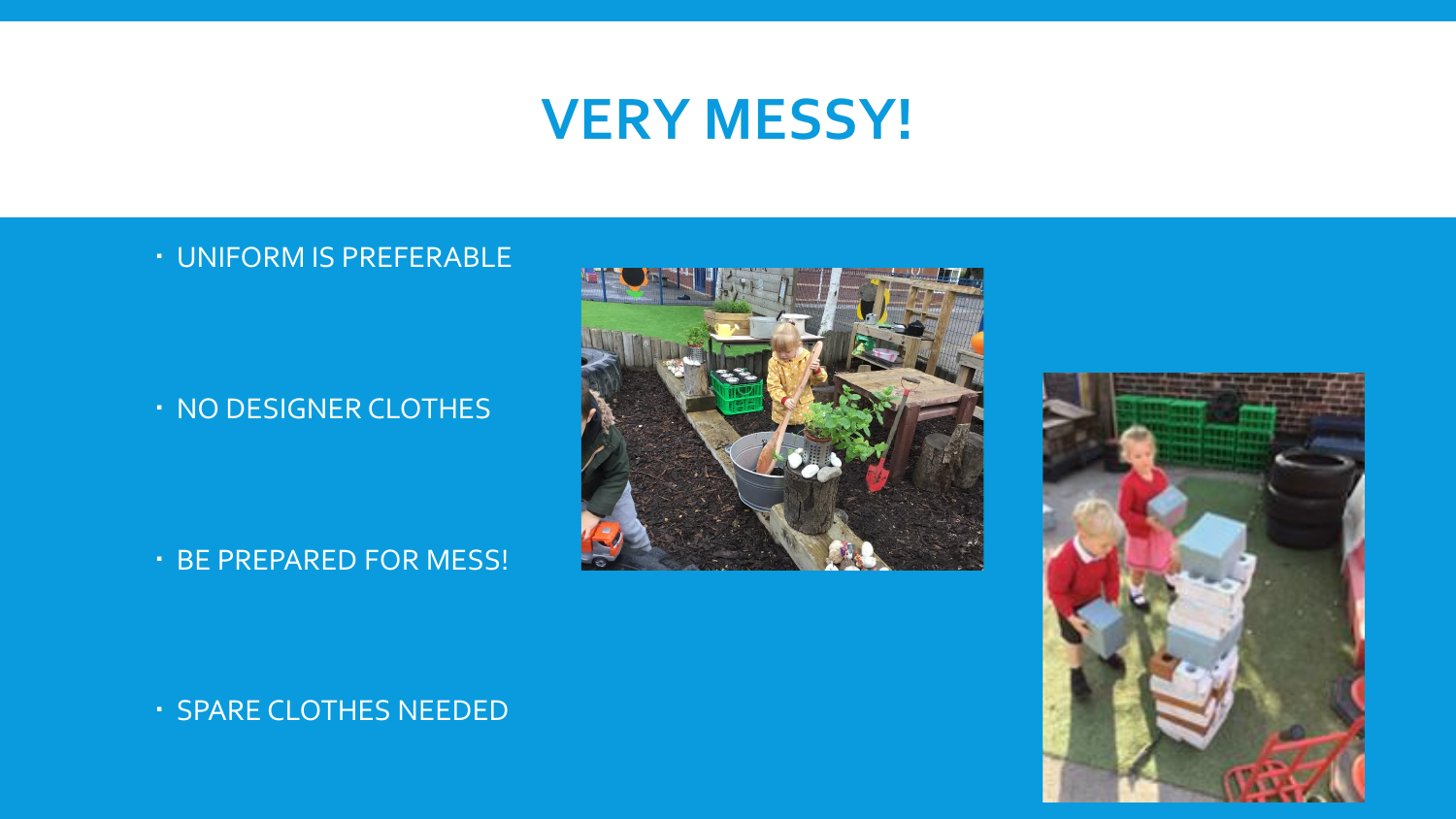### **VERY MESSY!**

#### UNIFORM IS PREFERABLE

#### . NO DESIGNER CLOTHES

#### BE PREPARED FOR MESS!





SPARE CLOTHES NEEDED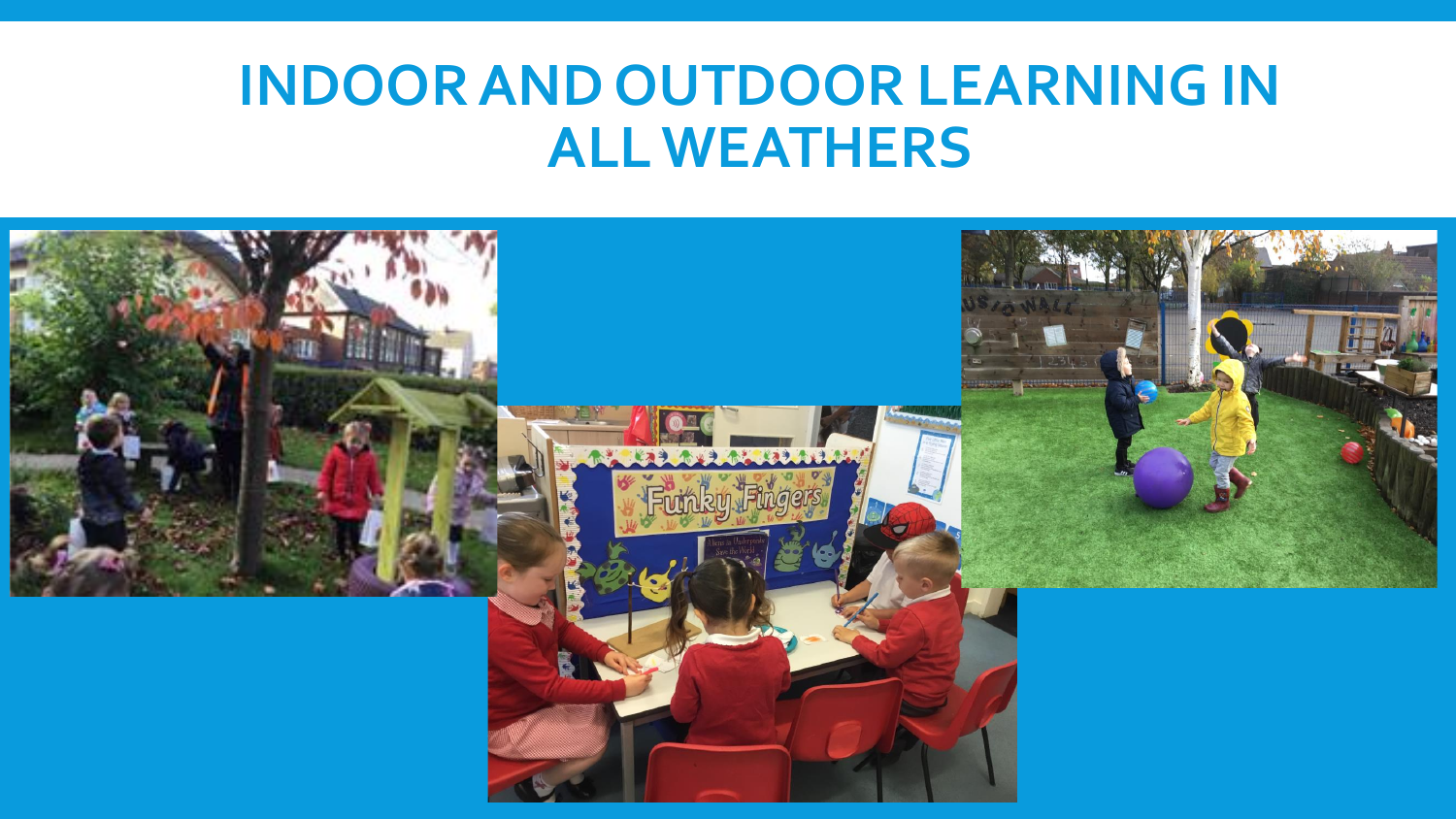# **INDOOR AND OUTDOOR LEARNING IN ALL WEATHERS**

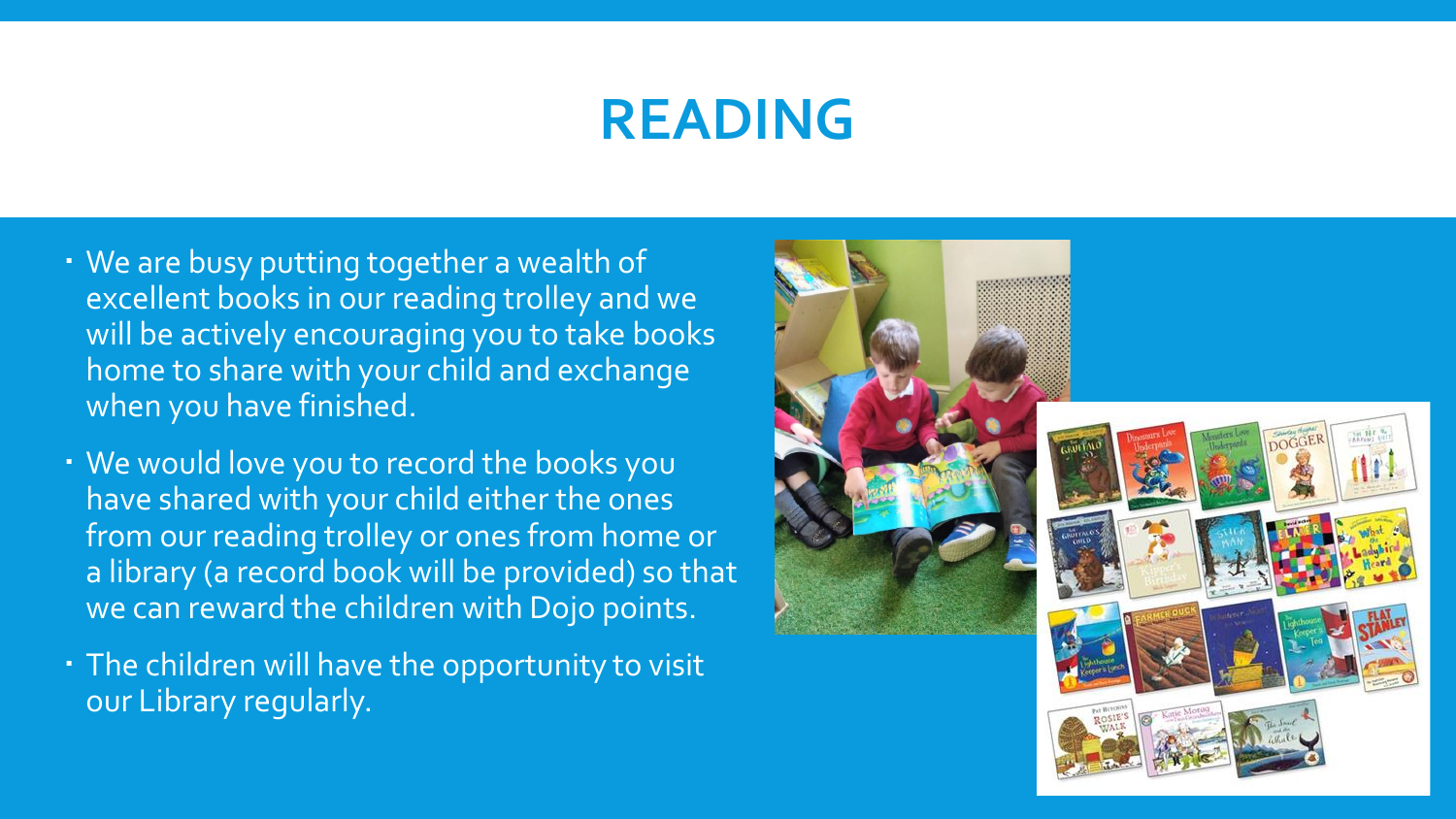# **READING**

- We are busy putting together a wealth of excellent books in our reading trolley and we will be actively encouraging you to take books home to share with your child and exchange when you have finished.
- We would love you to record the books you have shared with your child either the ones from our reading trolley or ones from home or a library (a record book will be provided) so that we can reward the children with Dojo points.
- The children will have the opportunity to visit our Library regularly.

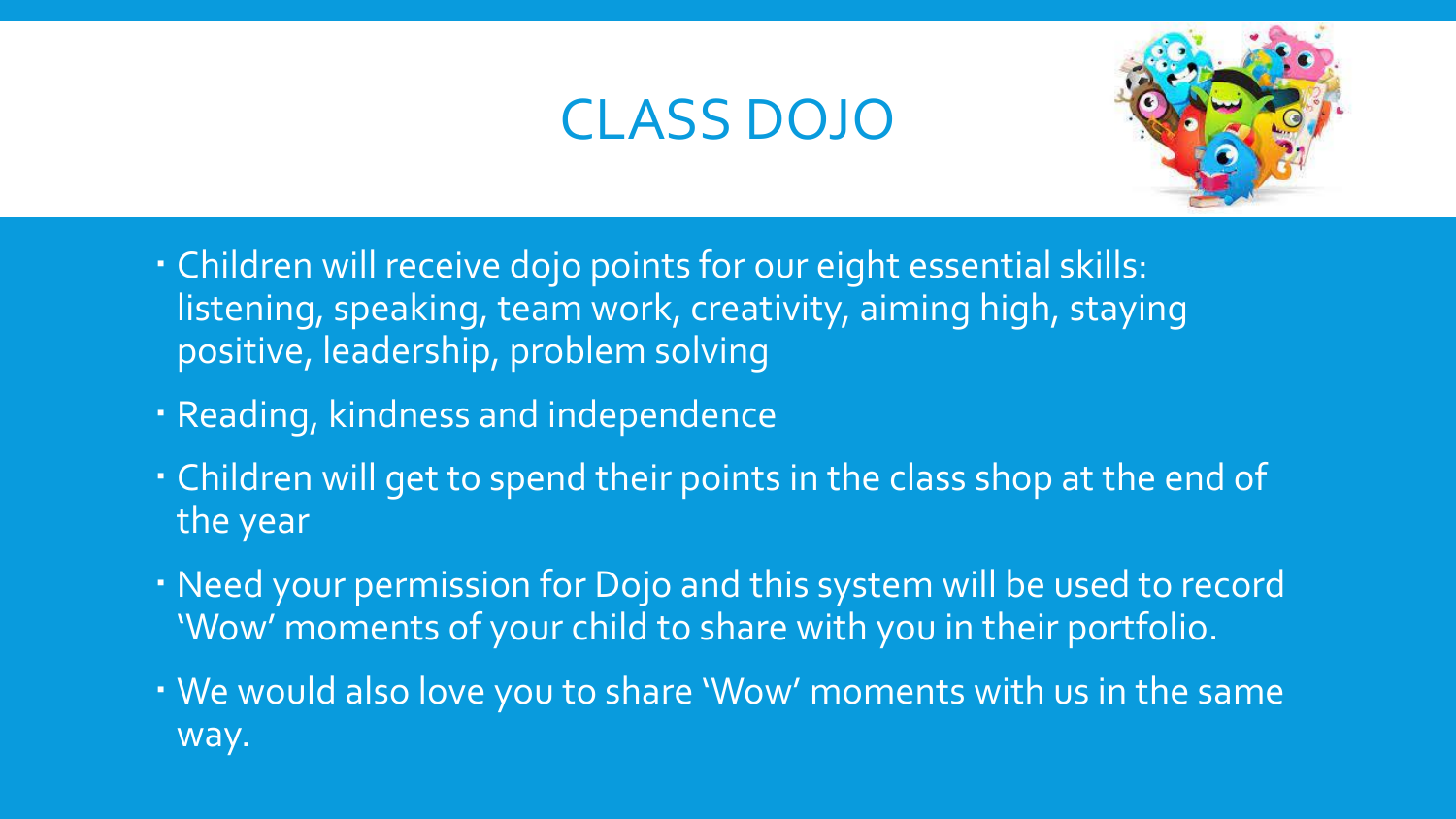# CLASS DOJO



- Children will receive dojo points for our eight essential skills: listening, speaking, team work, creativity, aiming high, staying positive, leadership, problem solving
- Reading, kindness and independence
- · Children will get to spend their points in the class shop at the end of the year
- Need your permission for Dojo and this system will be used to record 'Wow' moments of your child to share with you in their portfolio.
- We would also love you to share 'Wow' moments with us in the same way.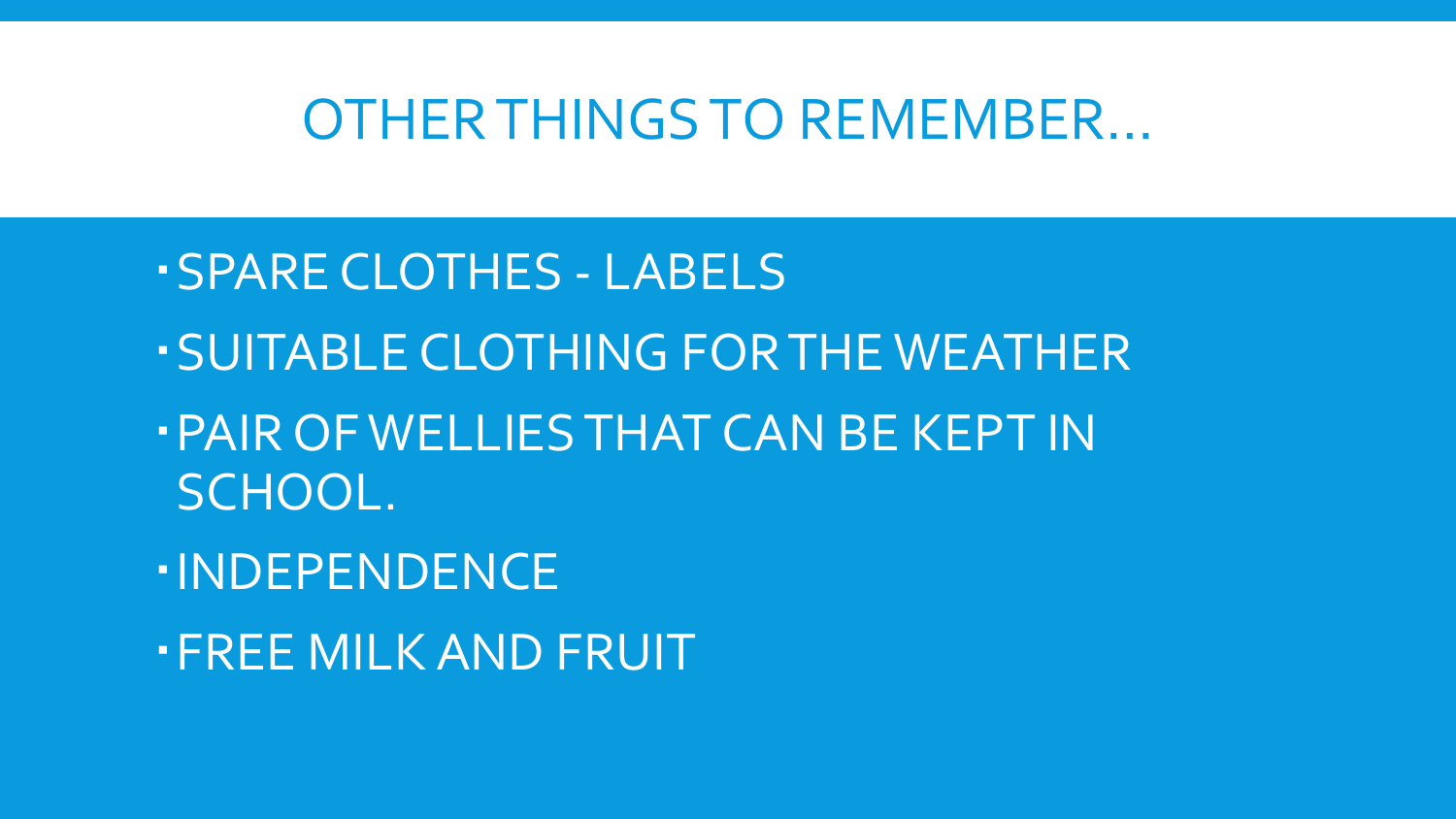### OTHER THINGS TO REMEMBER…

- SPARE CLOTHES LABELS
- SUITABLE CLOTHING FOR THE WEATHER
- PAIR OF WELLIES THAT CAN BE KEPT IN SCHOOL.
- INDEPENDENCE
- FREE MILK AND FRUIT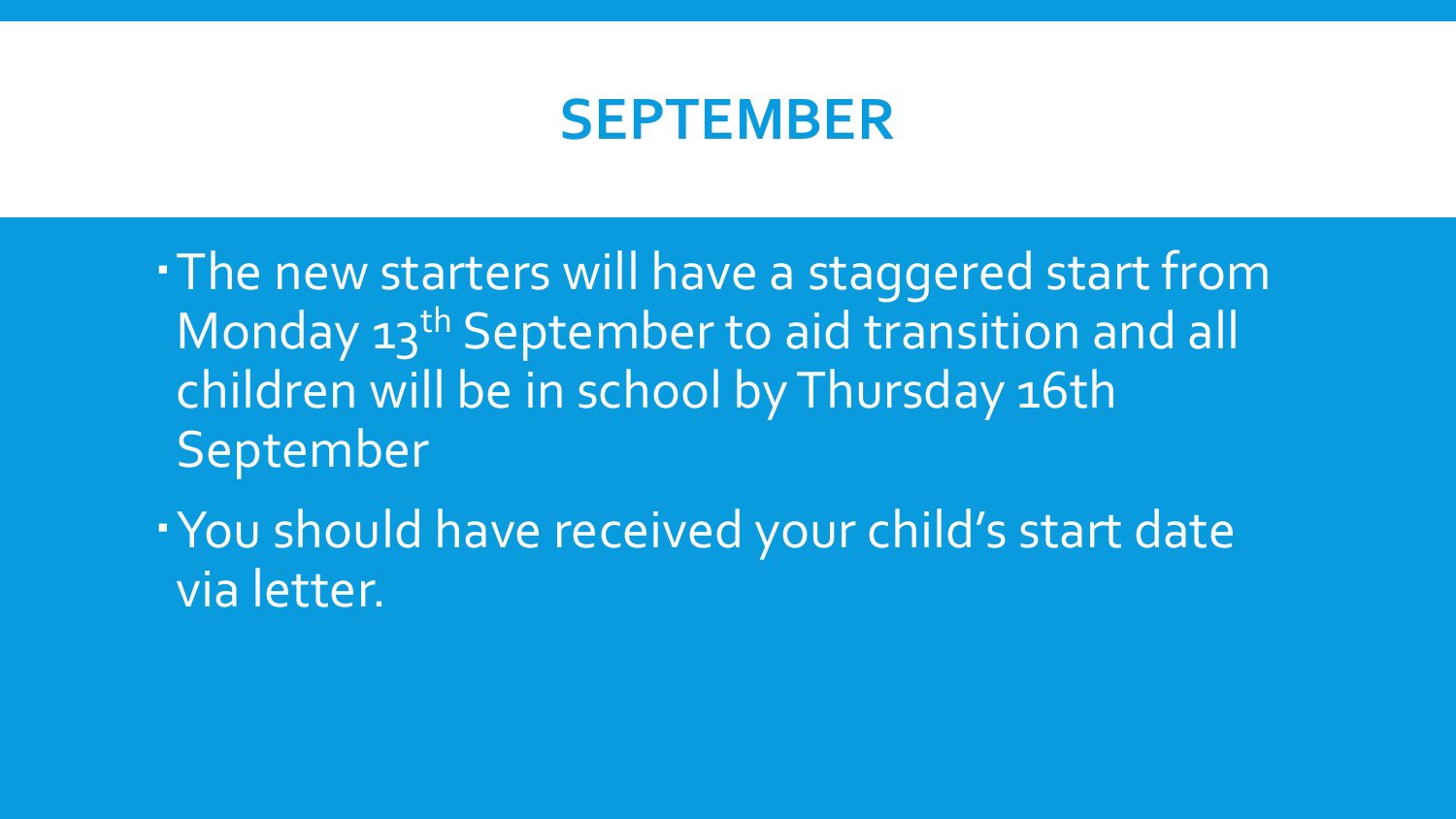### **SEPTEMBER**

The new starters will have a staggered start from Monday 13<sup>th</sup> September to aid transition and all children will be in school by Thursday 16th September

You should have received your child's start date via letter.